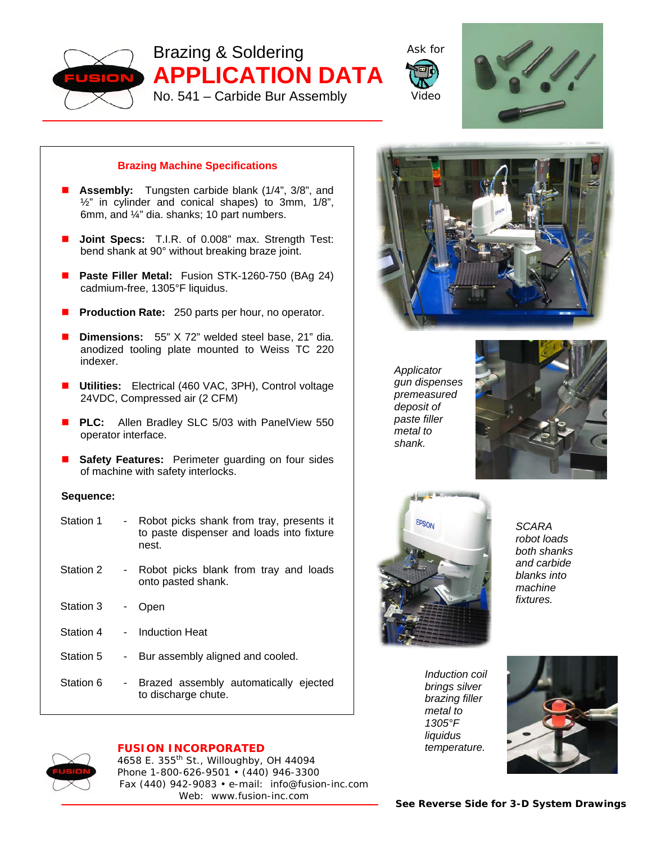

Brazing & Soldering **APPLICATION DATA**  No. 541 – Carbide Bur Assembly





## **Brazing Machine Specifications**

- **Assembly:** Tungsten carbide blank (1/4", 3/8", and ½" in cylinder and conical shapes) to 3mm, 1/8", 6mm, and ¼" dia. shanks; 10 part numbers.
- **Joint Specs:** T.I.R. of 0.008" max. Strength Test: bend shank at 90° without breaking braze joint.
- **Paste Filler Metal:** Fusion STK-1260-750 (BAg 24) cadmium-free, 1305°F liquidus.
- **Production Rate:** 250 parts per hour, no operator.
- **Dimensions:** 55" X 72" welded steel base, 21" dia. anodized tooling plate mounted to Weiss TC 220 indexer.
- **Utilities:** Electrical (460 VAC, 3PH), Control voltage 24VDC, Compressed air (2 CFM)
- **PLC:** Allen Bradley SLC 5/03 with PanelView 550 operator interface.
- **Safety Features:** Perimeter guarding on four sides of machine with safety interlocks.

## **Sequence:**

| Station 1 |            | Robot picks shank from tray, presents it<br>to paste dispenser and loads into fixture<br>nest. |
|-----------|------------|------------------------------------------------------------------------------------------------|
| Station 2 | $\sim 100$ | Robot picks blank from tray and loads<br>onto pasted shank.                                    |
| Station 3 | ۰.         | Open                                                                                           |
| Station 4 |            | <b>Induction Heat</b>                                                                          |
| Station 5 | - 1        | Bur assembly aligned and cooled.                                                               |
| Station 6 |            | - Brazed assembly automatically ejected<br>to discharge chute.                                 |







*shank.*

*SCARA robot loads both shanks and carbide blanks into machine fixtures.*

*Induction coil brings silver brazing filler metal to 1305°F liquidus temperature.*





## **FUSION INCORPORATED**

4658 E. 355th St., Willoughby, OH 44094 Phone 1-800-626-9501 • (440) 946-3300 Fax (440) 942-9083 • e-mail: info@fusion-inc.com Web: www.fusion-inc.com

*See Reverse Side for 3-D System Drawings*